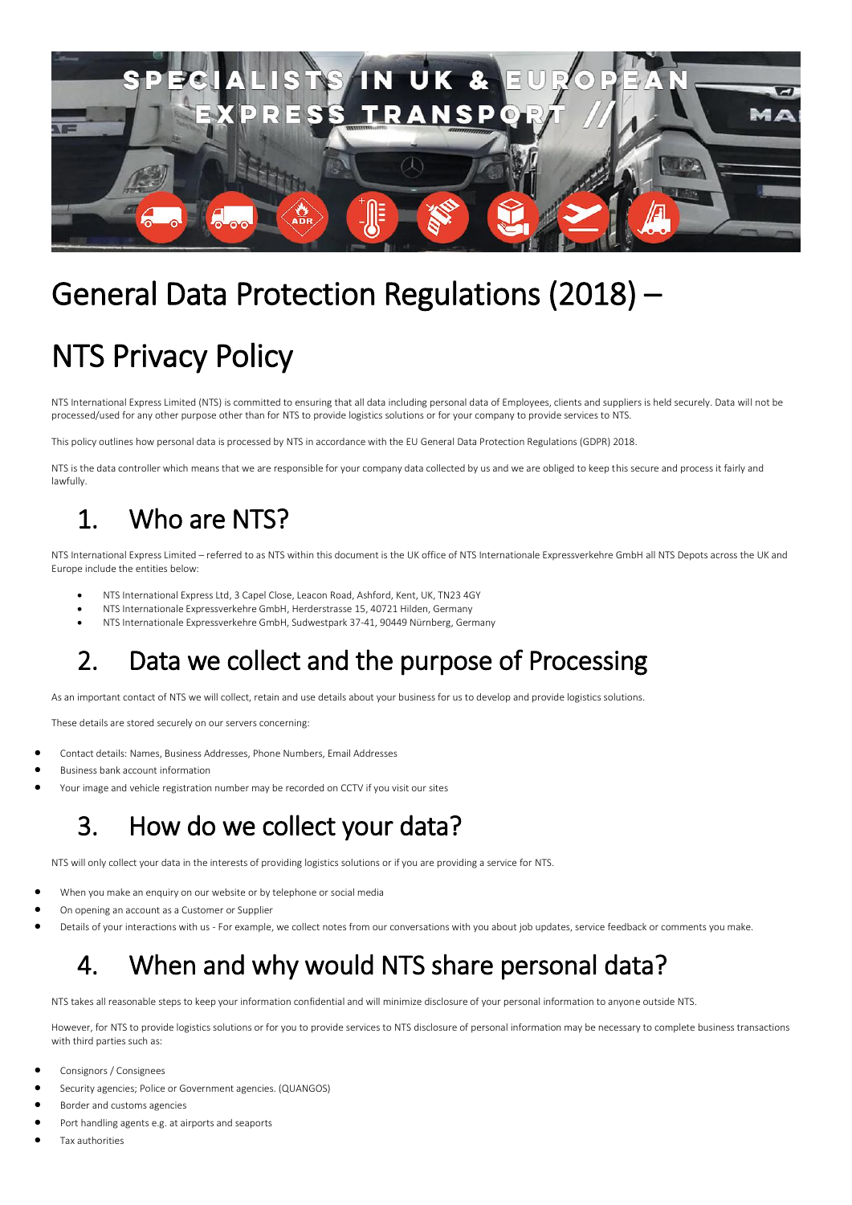

# General Data Protection Regulations (2018) –

# NTS Privacy Policy

NTS International Express Limited (NTS) is committed to ensuring that all data including personal data of Employees, clients and suppliers is held securely. Data will not be processed/used for any other purpose other than for NTS to provide logistics solutions or for your company to provide services to NTS.

This policy outlines how personal data is processed by NTS in accordance with the EU General Data Protection Regulations (GDPR) 2018.

NTS is the data controller which means that we are responsible for your company data collected by us and we are obliged to keep this secure and process it fairly and lawfully.

## 1. Who are NTS?

NTS International Express Limited – referred to as NTS within this document is the UK office of NTS Internationale Expressverkehre GmbH all NTS Depots across the UK and Europe include the entities below:

- NTS International Express Ltd, 3 Capel Close, Leacon Road, Ashford, Kent, UK, TN23 4GY
- NTS Internationale Expressverkehre GmbH, Herderstrasse 15, 40721 Hilden, Germany
- NTS Internationale Expressverkehre GmbH, Sudwestpark 37-41, 90449 Nürnberg, Germany

### 2. Data we collect and the purpose of Processing

As an important contact of NTS we will collect, retain and use details about your business for us to develop and provide logistics solutions.

These details are stored securely on our servers concerning:

- Contact details: Names, Business Addresses, Phone Numbers, Email Addresses
- Business bank account information
- Your image and vehicle registration number may be recorded on CCTV if you visit our sites

### 3. How do we collect your data?

NTS will only collect your data in the interests of providing logistics solutions or if you are providing a service for NTS.

- When you make an enquiry on our website or by telephone or social media
- On opening an account as a Customer or Supplier
- Details of your interactions with us For example, we collect notes from our conversations with you about job updates, service feedback or comments you make.

### 4. When and why would NTS share personal data?

NTS takes all reasonable steps to keep your information confidential and will minimize disclosure of your personal information to anyone outside NTS.

However, for NTS to provide logistics solutions or for you to provide services to NTS disclosure of personal information may be necessary to complete business transactions with third parties such as:

- Consignors / Consignees
- Security agencies; Police or Government agencies. (QUANGOS)
- Border and customs agencies
- Port handling agents e.g. at airports and seaports
- Tax authorities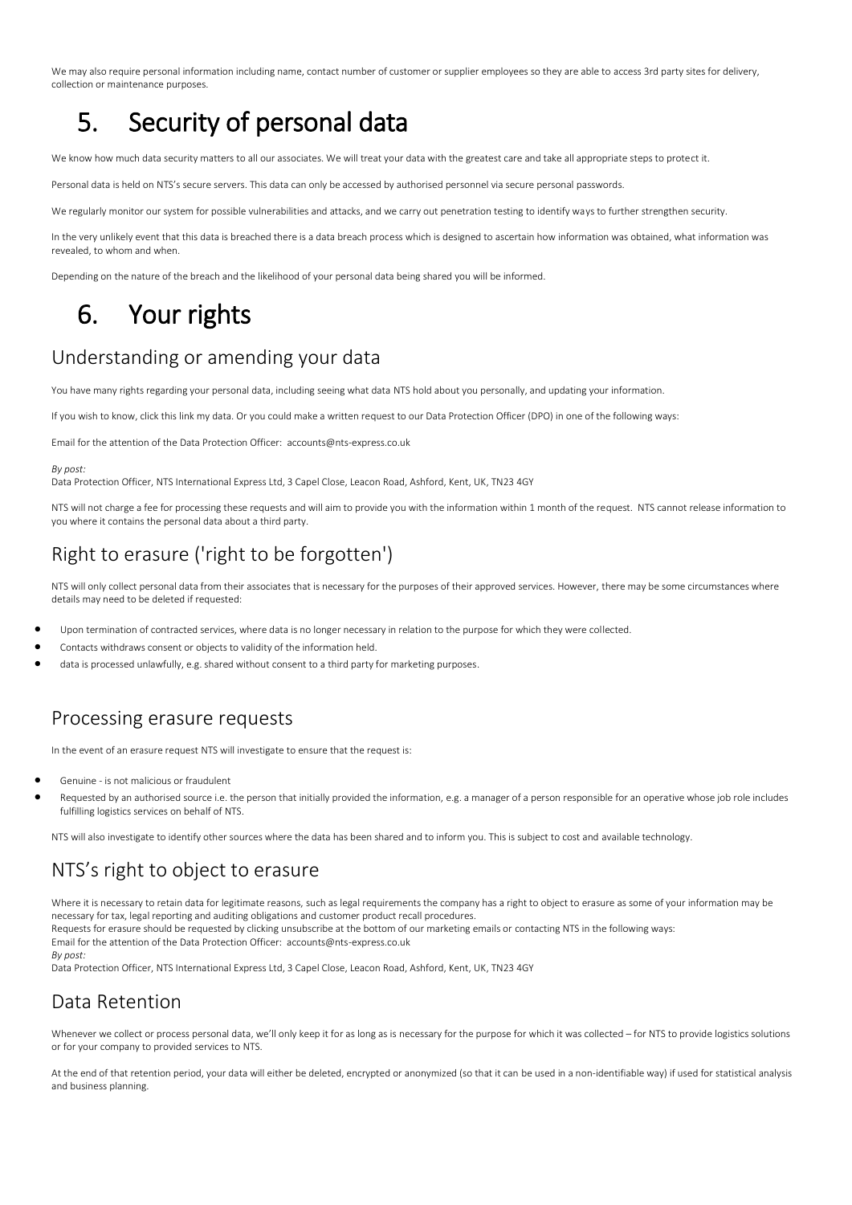We may also require personal information including name, contact number of customer or supplier employees so they are able to access 3rd party sites for delivery, collection or maintenance purposes.

## 5. Security of personal data

We know how much data security matters to all our associates. We will treat your data with the greatest care and take all appropriate steps to protect it.

Personal data is held on NTS's secure servers. This data can only be accessed by authorised personnel via secure personal passwords.

We regularly monitor our system for possible vulnerabilities and attacks, and we carry out penetration testing to identify ways to further strengthen security.

In the very unlikely event that this data is breached there is a data breach process which is designed to ascertain how information was obtained, what information was revealed, to whom and when.

Depending on the nature of the breach and the likelihood of your personal data being shared you will be informed.

### 6. Your rights

### Understanding or amending your data

You have many rights regarding your personal data, including seeing what data NTS hold about you personally, and updating your information.

If you wish to know, click this link my data. Or you could make a written request to our Data Protection Officer (DPO) in one of the following ways:

Email for the attention of the Data Protection Officer: accounts@nts-express.co.uk

#### *By post:*

Data Protection Officer, NTS International Express Ltd, 3 Capel Close, Leacon Road, Ashford, Kent, UK, TN23 4GY

NTS will not charge a fee for processing these requests and will aim to provide you with the information within 1 month of the request. NTS cannot release information to you where it contains the personal data about a third party.

### Right to erasure ('right to be forgotten')

NTS will only collect personal data from their associates that is necessary for the purposes of their approved services. However, there may be some circumstances where details may need to be deleted if requested:

- Upon termination of contracted services, where data is no longer necessary in relation to the purpose for which they were collected.
- Contacts withdraws consent or objects to validity of the information held.
- data is processed unlawfully, e.g. shared without consent to a third party for marketing purposes.

#### Processing erasure requests

In the event of an erasure request NTS will investigate to ensure that the request is:

- Genuine is not malicious or fraudulent
- Requested by an authorised source i.e. the person that initially provided the information, e.g. a manager of a person responsible for an operative whose job role includes fulfilling logistics services on behalf of NTS.

NTS will also investigate to identify other sources where the data has been shared and to inform you. This is subject to cost and available technology.

#### NTS's right to object to erasure

Where it is necessary to retain data for legitimate reasons, such as legal requirements the company has a right to object to erasure as some of your information may be necessary for tax, legal reporting and auditing obligations and customer product recall procedures. Requests for erasure should be requested by clicking unsubscribe at the bottom of our marketing emails or contacting NTS in the following ways: Email for the attention of the Data Protection Officer: accounts@nts-express.co.uk *By post:* Data Protection Officer, NTS International Express Ltd, 3 Capel Close, Leacon Road, Ashford, Kent, UK, TN23 4GY

#### Data Retention

Whenever we collect or process personal data, we'll only keep it for as long as is necessary for the purpose for which it was collected – for NTS to provide logistics solutions or for your company to provided services to NTS.

At the end of that retention period, your data will either be deleted, encrypted or anonymized (so that it can be used in a non-identifiable way) if used for statistical analysis and business planning.